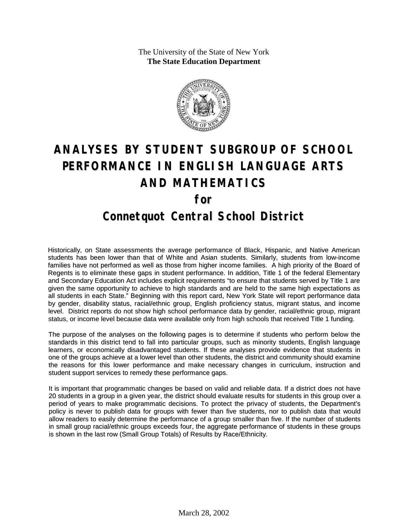The University of the State of New York **The State Education Department**



# **ANALYSES BY STUDENT SUBGROUP OF SCHOOL PERFORMANCE IN ENGLISH LANGUAGE ARTS AND MATHEMATICS for Connetquot Central School District**

Historically, on State assessments the average performance of Black, Hispanic, and Native American students has been lower than that of White and Asian students. Similarly, students from low-income families have not performed as well as those from higher income families. A high priority of the Board of Regents is to eliminate these gaps in student performance. In addition, Title 1 of the federal Elementary and Secondary Education Act includes explicit requirements "to ensure that students served by Title 1 are given the same opportunity to achieve to high standards and are held to the same high expectations as all students in each State." Beginning with this report card, New York State will report performance data by gender, disability status, racial/ethnic group, English proficiency status, migrant status, and income level. District reports do not show high school performance data by gender, racial/ethnic group, migrant status, or income level because data were available only from high schools that received Title 1 funding.

The purpose of the analyses on the following pages is to determine if students who perform below the standards in this district tend to fall into particular groups, such as minority students, English language learners, or economically disadvantaged students. If these analyses provide evidence that students in one of the groups achieve at a lower level than other students, the district and community should examine the reasons for this lower performance and make necessary changes in curriculum, instruction and student support services to remedy these performance gaps.

It is important that programmatic changes be based on valid and reliable data. If a district does not have 20 students in a group in a given year, the district should evaluate results for students in this group over a period of years to make programmatic decisions. To protect the privacy of students, the Department's policy is never to publish data for groups with fewer than five students, nor to publish data that would allow readers to easily determine the performance of a group smaller than five. If the number of students in small group racial/ethnic groups exceeds four, the aggregate performance of students in these groups is shown in the last row (Small Group Totals) of Results by Race/Ethnicity.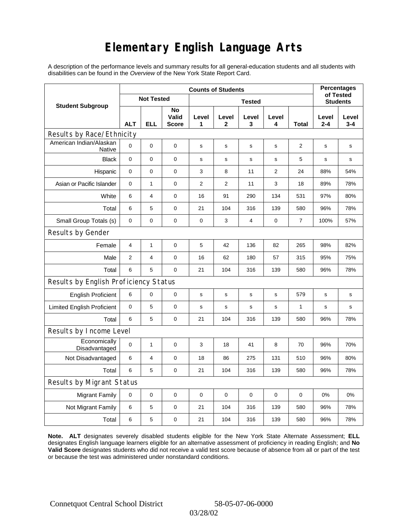# **Elementary English Language Arts**

A description of the performance levels and summary results for all general-education students and all students with disabilities can be found in the *Overview* of the New York State Report Card.

|                                          | <b>Counts of Students</b> |                   |                             |             |                       |             |                |                 |                  | <b>Percentages</b><br>of Tested |  |
|------------------------------------------|---------------------------|-------------------|-----------------------------|-------------|-----------------------|-------------|----------------|-----------------|------------------|---------------------------------|--|
| <b>Student Subgroup</b>                  |                           | <b>Not Tested</b> |                             |             |                       |             |                | <b>Students</b> |                  |                                 |  |
|                                          | <b>ALT</b>                | <b>ELL</b>        | No<br>Valid<br><b>Score</b> | Level<br>1  | Level<br>$\mathbf{2}$ | Level<br>3  | Level<br>4     | Total           | Level<br>$2 - 4$ | Level<br>$3 - 4$                |  |
| Results by Race/Ethnicity                |                           |                   |                             |             |                       |             |                |                 |                  |                                 |  |
| American Indian/Alaskan<br><b>Native</b> | $\mathbf 0$               | 0                 | $\pmb{0}$                   | $\mathbf s$ | s                     | s           | s              | 2               | s                | s                               |  |
| <b>Black</b>                             | $\mathbf 0$               | 0                 | $\pmb{0}$                   | s           | s                     | s           | s              | 5               | s                | s                               |  |
| Hispanic                                 | 0                         | 0                 | $\pmb{0}$                   | 3           | 8                     | 11          | $\overline{2}$ | 24              | 88%              | 54%                             |  |
| Asian or Pacific Islander                | 0                         | 1                 | 0                           | 2           | 2                     | 11          | 3              | 18              | 89%              | 78%                             |  |
| White                                    | 6                         | 4                 | $\pmb{0}$                   | 16          | 91                    | 290         | 134            | 531             | 97%              | 80%                             |  |
| Total                                    | 6                         | 5                 | $\pmb{0}$                   | 21          | 104                   | 316         | 139            | 580             | 96%              | 78%                             |  |
| Small Group Totals (s)                   | 0                         | 0                 | 0                           | 0           | 3                     | 4           | 0              | $\overline{7}$  | 100%             | 57%                             |  |
| Results by Gender                        |                           |                   |                             |             |                       |             |                |                 |                  |                                 |  |
| Female                                   | 4                         | 1                 | $\pmb{0}$                   | 5           | 42                    | 136         | 82             | 265             | 98%              | 82%                             |  |
| Male                                     | 2                         | 4                 | 0                           | 16          | 62                    | 180         | 57             | 315             | 95%              | 75%                             |  |
| Total                                    | 6                         | 5                 | $\mathbf 0$                 | 21          | 104                   | 316         | 139            | 580             | 96%              | 78%                             |  |
| Results by English Proficiency Status    |                           |                   |                             |             |                       |             |                |                 |                  |                                 |  |
| <b>English Proficient</b>                | 6                         | 0                 | $\pmb{0}$                   | s           | s                     | s           | s              | 579             | s                | $\mathbf s$                     |  |
| <b>Limited English Proficient</b>        | 0                         | 5                 | $\pmb{0}$                   | s           | s                     | $\mathbf s$ | $\mathbf s$    | $\mathbf{1}$    | $\mathbf s$      | $\mathbf s$                     |  |
| Total                                    | 6                         | 5                 | $\pmb{0}$                   | 21          | 104                   | 316         | 139            | 580             | 96%              | 78%                             |  |
| Results by Income Level                  |                           |                   |                             |             |                       |             |                |                 |                  |                                 |  |
| Economically<br>Disadvantaged            | $\mathbf 0$               | 1                 | $\mathbf 0$                 | 3           | 18                    | 41          | 8              | 70              | 96%              | 70%                             |  |
| Not Disadvantaged                        | 6                         | 4                 | $\mathbf 0$                 | 18          | 86                    | 275         | 131            | 510             | 96%              | 80%                             |  |
| Total                                    | 6                         | 5                 | 0                           | 21          | 104                   | 316         | 139            | 580             | 96%              | 78%                             |  |
| Results by Migrant Status                |                           |                   |                             |             |                       |             |                |                 |                  |                                 |  |
| <b>Migrant Family</b>                    | 0                         | 0                 | 0                           | 0           | 0                     | $\mathbf 0$ | 0              | 0               | 0%               | 0%                              |  |
| Not Migrant Family                       | 6                         | 5                 | $\pmb{0}$                   | 21          | 104                   | 316         | 139            | 580             | 96%              | 78%                             |  |
| Total                                    | 6                         | 5                 | $\pmb{0}$                   | 21          | 104                   | 316         | 139            | 580             | 96%              | 78%                             |  |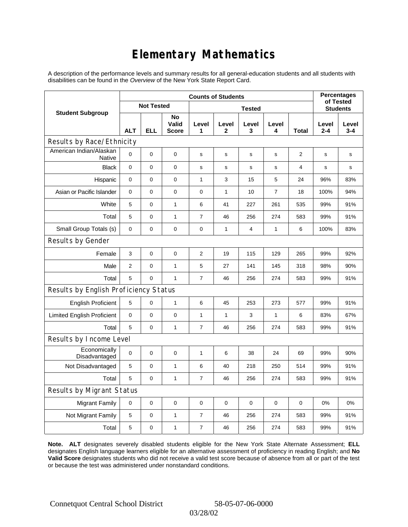# **Elementary Mathematics**

A description of the performance levels and summary results for all general-education students and all students with disabilities can be found in the *Overview* of the New York State Report Card.

|                                          | <b>Counts of Students</b> |             |                             |                  |              |                 |                |                | <b>Percentages</b><br>of Tested |                  |
|------------------------------------------|---------------------------|-------------|-----------------------------|------------------|--------------|-----------------|----------------|----------------|---------------------------------|------------------|
| <b>Student Subgroup</b>                  | <b>Not Tested</b>         |             |                             |                  |              | <b>Students</b> |                |                |                                 |                  |
|                                          | <b>ALT</b>                | <b>ELL</b>  | No<br>Valid<br><b>Score</b> | Level<br>1       | Level<br>2   | Level<br>3      | Level<br>4     | Total          | Level<br>$2 - 4$                | Level<br>$3 - 4$ |
| Results by Race/Ethnicity                |                           |             |                             |                  |              |                 |                |                |                                 |                  |
| American Indian/Alaskan<br><b>Native</b> | $\mathbf 0$               | $\mathbf 0$ | $\pmb{0}$                   | s                | s            | s               | s              | $\overline{2}$ | s                               | s                |
| <b>Black</b>                             | 0                         | 0           | $\pmb{0}$                   | $\mathbf s$      | $\mathbf s$  | s               | s              | 4              | s                               | s                |
| Hispanic                                 | 0                         | $\mathbf 0$ | $\mathbf 0$                 | $\mathbf{1}$     | 3            | 15              | 5              | 24             | 96%                             | 83%              |
| Asian or Pacific Islander                | 0                         | 0           | $\pmb{0}$                   | $\mathbf 0$      | $\mathbf{1}$ | 10              | $\overline{7}$ | 18             | 100%                            | 94%              |
| White                                    | 5                         | 0           | $\mathbf{1}$                | 6                | 41           | 227             | 261            | 535            | 99%                             | 91%              |
| Total                                    | 5                         | 0           | 1                           | $\overline{7}$   | 46           | 256             | 274            | 583            | 99%                             | 91%              |
| Small Group Totals (s)                   | 0                         | 0           | $\pmb{0}$                   | $\mathbf 0$      | $\mathbf{1}$ | 4               | $\mathbf{1}$   | 6              | 100%                            | 83%              |
| Results by Gender                        |                           |             |                             |                  |              |                 |                |                |                                 |                  |
| Female                                   | 3                         | 0           | $\mathbf 0$                 | $\overline{2}$   | 19           | 115             | 129            | 265            | 99%                             | 92%              |
| Male                                     | $\overline{2}$            | 0           | $\mathbf{1}$                | 5                | 27           | 141             | 145            | 318            | 98%                             | 90%              |
| Total                                    | 5                         | 0           | $\mathbf{1}$                | $\overline{7}$   | 46           | 256             | 274            | 583            | 99%                             | 91%              |
| Results by English Proficiency Status    |                           |             |                             |                  |              |                 |                |                |                                 |                  |
| <b>English Proficient</b>                | 5                         | 0           | $\mathbf{1}$                | 6                | 45           | 253             | 273            | 577            | 99%                             | 91%              |
| <b>Limited English Proficient</b>        | 0                         | 0           | $\pmb{0}$                   | $\mathbf{1}$     | $\mathbf{1}$ | 3               | $\mathbf{1}$   | 6              | 83%                             | 67%              |
| Total                                    | 5                         | 0           | $\mathbf{1}$                | $\overline{7}$   | 46           | 256             | 274            | 583            | 99%                             | 91%              |
| Results by Income Level                  |                           |             |                             |                  |              |                 |                |                |                                 |                  |
| Economically<br>Disadvantaged            | $\mathbf 0$               | 0           | $\mathbf 0$                 | $\mathbf{1}$     | 6            | 38              | 24             | 69             | 99%                             | 90%              |
| Not Disadvantaged                        | 5                         | 0           | $\mathbf{1}$                | 6                | 40           | 218             | 250            | 514            | 99%                             | 91%              |
| Total                                    | 5                         | $\pmb{0}$   | $\mathbf{1}$                | $\overline{7}$   | 46           | 256             | 274            | 583            | 99%                             | 91%              |
| Results by Migrant Status                |                           |             |                             |                  |              |                 |                |                |                                 |                  |
| <b>Migrant Family</b>                    | 0                         | 0           | $\mathbf 0$                 | $\mathbf 0$      | $\mathbf 0$  | $\mathbf 0$     | $\mathbf 0$    | $\mathbf 0$    | 0%                              | 0%               |
| Not Migrant Family                       | 5                         | $\pmb{0}$   | 1                           | $\boldsymbol{7}$ | 46           | 256             | 274            | 583            | 99%                             | 91%              |
| Total                                    | 5                         | 0           | 1                           | $\overline{7}$   | 46           | 256             | 274            | 583            | 99%                             | 91%              |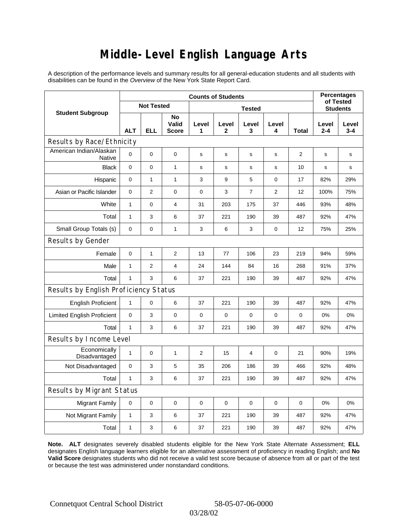### **Middle-Level English Language Arts**

A description of the performance levels and summary results for all general-education students and all students with disabilities can be found in the *Overview* of the New York State Report Card.

|                                          | <b>Counts of Students</b> |                |                             |                |             |                 |             |       | <b>Percentages</b><br>of Tested |              |
|------------------------------------------|---------------------------|----------------|-----------------------------|----------------|-------------|-----------------|-------------|-------|---------------------------------|--------------|
| <b>Student Subgroup</b>                  | <b>Not Tested</b>         |                |                             |                |             | <b>Students</b> |             |       |                                 |              |
|                                          | <b>ALT</b>                | <b>ELL</b>     | No<br>Valid<br><b>Score</b> | Level<br>1     | Level<br>2  | Level<br>3      | Level<br>4  | Total | Level<br>$2 - 4$                | Level<br>3-4 |
| Results by Race/Ethnicity                |                           |                |                             |                |             |                 |             |       |                                 |              |
| American Indian/Alaskan<br><b>Native</b> | $\overline{0}$            | $\mathbf 0$    | $\pmb{0}$                   | s              | s           | s               | s           | 2     | s                               | s            |
| <b>Black</b>                             | 0                         | 0              | $\mathbf{1}$                | $\mathbf s$    | $\mathbf s$ | s               | s           | 10    | s                               | s            |
| Hispanic                                 | 0                         | $\mathbf{1}$   | $\mathbf{1}$                | 3              | 9           | 5               | $\mathbf 0$ | 17    | 82%                             | 29%          |
| Asian or Pacific Islander                | 0                         | $\overline{2}$ | $\pmb{0}$                   | $\mathbf 0$    | 3           | $\overline{7}$  | 2           | 12    | 100%                            | 75%          |
| White                                    | $\mathbf{1}$              | 0              | 4                           | 31             | 203         | 175             | 37          | 446   | 93%                             | 48%          |
| Total                                    | $\mathbf{1}$              | 3              | 6                           | 37             | 221         | 190             | 39          | 487   | 92%                             | 47%          |
| Small Group Totals (s)                   | 0                         | 0              | $\mathbf{1}$                | 3              | 6           | 3               | 0           | 12    | 75%                             | 25%          |
| Results by Gender                        |                           |                |                             |                |             |                 |             |       |                                 |              |
| Female                                   | 0                         | $\mathbf{1}$   | $\overline{c}$              | 13             | 77          | 106             | 23          | 219   | 94%                             | 59%          |
| Male                                     | $\mathbf{1}$              | $\overline{2}$ | $\overline{4}$              | 24             | 144         | 84              | 16          | 268   | 91%                             | 37%          |
| Total                                    | $\mathbf{1}$              | 3              | 6                           | 37             | 221         | 190             | 39          | 487   | 92%                             | 47%          |
| Results by English Proficiency Status    |                           |                |                             |                |             |                 |             |       |                                 |              |
| <b>English Proficient</b>                | $\mathbf{1}$              | 0              | 6                           | 37             | 221         | 190             | 39          | 487   | 92%                             | 47%          |
| <b>Limited English Proficient</b>        | $\pmb{0}$                 | 3              | 0                           | $\mathbf 0$    | $\mathbf 0$ | 0               | 0           | 0     | 0%                              | 0%           |
| Total                                    | $\mathbf{1}$              | 3              | 6                           | 37             | 221         | 190             | 39          | 487   | 92%                             | 47%          |
| Results by Income Level                  |                           |                |                             |                |             |                 |             |       |                                 |              |
| Economically<br>Disadvantaged            | $\mathbf{1}$              | 0              | 1                           | $\overline{2}$ | 15          | 4               | 0           | 21    | 90%                             | 19%          |
| Not Disadvantaged                        | $\mathbf 0$               | 3              | 5                           | 35             | 206         | 186             | 39          | 466   | 92%                             | 48%          |
| Total                                    | $\mathbf{1}$              | 3              | 6                           | 37             | 221         | 190             | 39          | 487   | 92%                             | 47%          |
| Results by Migrant Status                |                           |                |                             |                |             |                 |             |       |                                 |              |
| <b>Migrant Family</b>                    | 0                         | 0              | $\mathbf 0$                 | $\mathbf 0$    | $\mathbf 0$ | $\mathbf 0$     | 0           | 0     | 0%                              | 0%           |
| Not Migrant Family                       | 1                         | 3              | 6                           | 37             | 221         | 190             | 39          | 487   | 92%                             | 47%          |
| Total                                    | 1                         | 3              | 6                           | 37             | 221         | 190             | 39          | 487   | 92%                             | 47%          |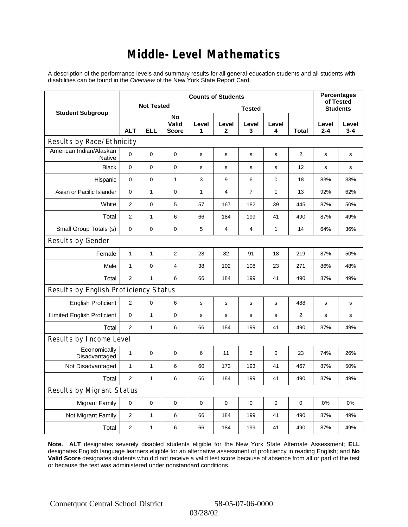### **Middle-Level Mathematics**

A description of the performance levels and summary results for all general-education students and all students with disabilities can be found in the *Overview* of the New York State Report Card.

|                                          | <b>Counts of Students</b> |                   |                             |               |                         |                |              |              | <b>Percentages</b><br>of Tested |                  |
|------------------------------------------|---------------------------|-------------------|-----------------------------|---------------|-------------------------|----------------|--------------|--------------|---------------------------------|------------------|
| <b>Student Subgroup</b>                  |                           | <b>Not Tested</b> |                             | <b>Tested</b> |                         |                |              |              | <b>Students</b>                 |                  |
|                                          | <b>ALT</b>                | <b>ELL</b>        | No<br>Valid<br><b>Score</b> | Level<br>1    | Level<br>2              | Level<br>3     | Level<br>4   | <b>Total</b> | Level<br>$2 - 4$                | Level<br>$3 - 4$ |
| Results by Race/Ethnicity                |                           |                   |                             |               |                         |                |              |              |                                 |                  |
| American Indian/Alaskan<br><b>Native</b> | 0                         | $\mathbf 0$       | $\mathbf 0$                 | s             | s                       | s              | s            | 2            | s                               | s                |
| <b>Black</b>                             | 0                         | 0                 | $\pmb{0}$                   | $\mathbf s$   | $\mathbf s$             | s              | s            | 12           | s                               | s                |
| Hispanic                                 | 0                         | 0                 | $\mathbf{1}$                | 3             | 9                       | 6              | $\mathbf 0$  | 18           | 83%                             | 33%              |
| Asian or Pacific Islander                | 0                         | $\mathbf{1}$      | $\mathbf 0$                 | 1             | $\overline{4}$          | $\overline{7}$ | $\mathbf{1}$ | 13           | 92%                             | 62%              |
| White                                    | $\overline{2}$            | 0                 | 5                           | 57            | 167                     | 182            | 39           | 445          | 87%                             | 50%              |
| Total                                    | $\overline{2}$            | $\mathbf{1}$      | 6                           | 66            | 184                     | 199            | 41           | 490          | 87%                             | 49%              |
| Small Group Totals (s)                   | $\mathbf 0$               | 0                 | $\mathbf 0$                 | 5             | $\overline{\mathbf{4}}$ | 4              | 1            | 14           | 64%                             | 36%              |
| Results by Gender                        |                           |                   |                             |               |                         |                |              |              |                                 |                  |
| Female                                   | $\mathbf{1}$              | $\mathbf{1}$      | $\overline{2}$              | 28            | 82                      | 91             | 18           | 219          | 87%                             | 50%              |
| Male                                     | $\mathbf{1}$              | 0                 | $\overline{4}$              | 38            | 102                     | 108            | 23           | 271          | 86%                             | 48%              |
| Total                                    | $\overline{2}$            | $\mathbf{1}$      | 6                           | 66            | 184                     | 199            | 41           | 490          | 87%                             | 49%              |
| Results by English Proficiency Status    |                           |                   |                             |               |                         |                |              |              |                                 |                  |
| <b>English Proficient</b>                | 2                         | 0                 | 6                           | $\mathbf s$   | S                       | s              | s            | 488          | s                               | $\mathbf s$      |
| <b>Limited English Proficient</b>        | 0                         | $\mathbf{1}$      | $\pmb{0}$                   | $\mathbf s$   | $\mathbf S$             | s              | s            | 2            | s                               | s                |
| Total                                    | $\overline{2}$            | $\mathbf{1}$      | 6                           | 66            | 184                     | 199            | 41           | 490          | 87%                             | 49%              |
| Results by Income Level                  |                           |                   |                             |               |                         |                |              |              |                                 |                  |
| Economically<br>Disadvantaged            | $\mathbf{1}$              | 0                 | $\mathbf 0$                 | 6             | 11                      | 6              | 0            | 23           | 74%                             | 26%              |
| Not Disadvantaged                        | 1                         | 1                 | 6                           | 60            | 173                     | 193            | 41           | 467          | 87%                             | 50%              |
| Total                                    | $\overline{2}$            | $\mathbf{1}$      | 6                           | 66            | 184                     | 199            | 41           | 490          | 87%                             | 49%              |
| Results by Migrant Status                |                           |                   |                             |               |                         |                |              |              |                                 |                  |
| <b>Migrant Family</b>                    | $\mathbf 0$               | 0                 | $\pmb{0}$                   | 0             | $\mathbf 0$             | 0              | 0            | $\mathbf 0$  | 0%                              | 0%               |
| Not Migrant Family                       | $\overline{c}$            | $\mathbf{1}$      | 6                           | 66            | 184                     | 199            | 41           | 490          | 87%                             | 49%              |
| Total                                    | $\overline{2}$            | 1                 | 6                           | 66            | 184                     | 199            | 41           | 490          | 87%                             | 49%              |